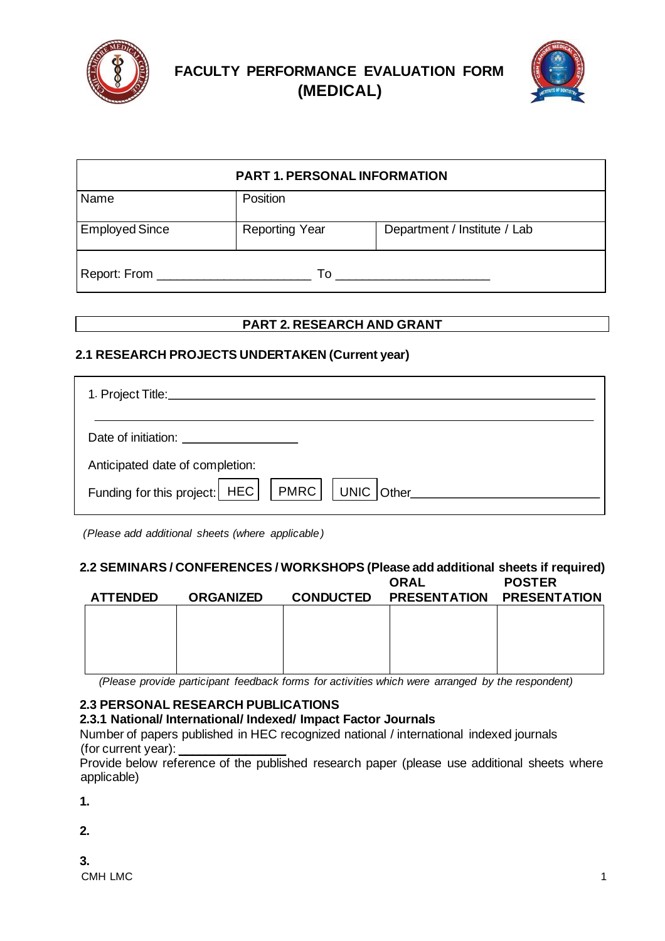



| <b>PART 1. PERSONAL INFORMATION</b> |                       |                              |  |  |
|-------------------------------------|-----------------------|------------------------------|--|--|
| Name                                | Position              |                              |  |  |
| <b>Employed Since</b>               | <b>Reporting Year</b> | Department / Institute / Lab |  |  |
| Report: From _______________        | To                    |                              |  |  |

## **PART 2. RESEARCH AND GRANT**

## **2.1 RESEARCH PROJECTS UNDERTAKEN (Current year)**

| Date of initiation: <u>________________________</u>       |
|-----------------------------------------------------------|
| Anticipated date of completion:                           |
| Funding for this project:   HEC     PMRC     UNIC   Other |

*(Please add additional sheets (where applicable)*

# **2.2 SEMINARS / CONFERENCES / WORKSHOPS (Please add additional sheets if required)**

| <b>ATTENDED</b> | <b>ORGANIZED</b> | <b>CONDUCTED</b> | <b>ORAL</b><br><b>PRESENTATION</b> | <b>POSTER</b><br><b>PRESENTATION</b> |
|-----------------|------------------|------------------|------------------------------------|--------------------------------------|
|                 |                  |                  |                                    |                                      |
|                 |                  |                  |                                    |                                      |
|                 |                  |                  |                                    |                                      |

*(Please provide participant feedback forms for activities which were arranged by the respondent)* 

# **2.3 PERSONAL RESEARCH PUBLICATIONS**

## **2.3.1 National/ International/ Indexed/ Impact Factor Journals**

Number of papers published in HEC recognized national / international indexed journals (for current year):

Provide below reference of the published research paper (please use additional sheets where applicable)

**1.** 

**2.** 

 $\mathsf{CMH}\text{ LMC}$  and  $\mathsf{IMC}$  are the set of  $\mathsf{IMC}$  and  $\mathsf{IMC}$  and  $\mathsf{IMC}$  are the set of  $\mathsf{IMC}$  and  $\mathsf{IMC}$  and  $\mathsf{IMC}$  are the set of  $\mathsf{IMC}$  and  $\mathsf{IMC}$  and  $\mathsf{IMC}$  are the set of  $\mathsf{IMC}$  and  $\mathsf$ **3.**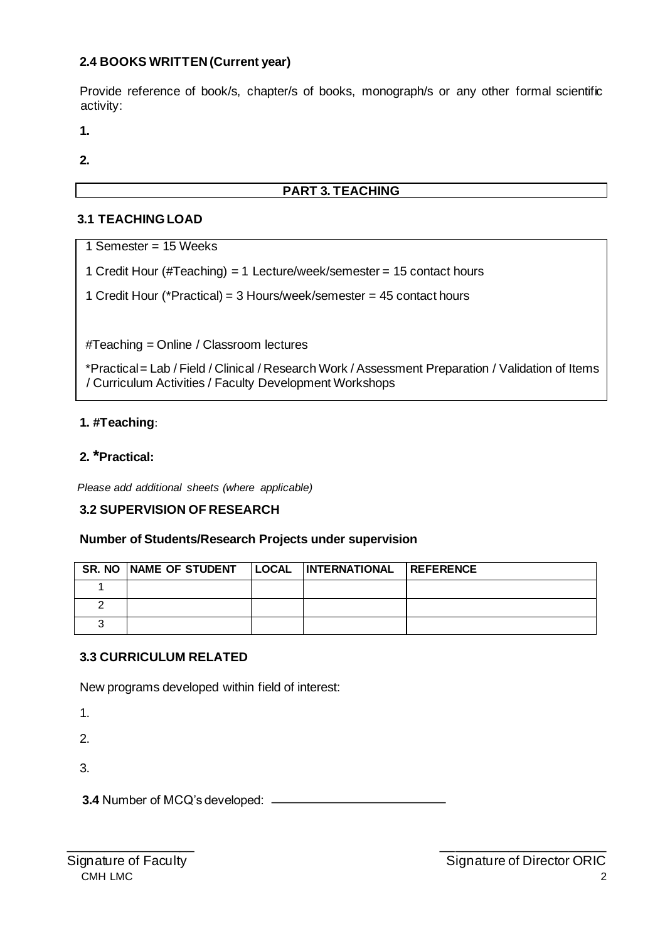## **2.4 BOOKS WRITTEN (Current year)**

Provide reference of book/s, chapter/s of books, monograph/s or any other formal scientific activity:

**1.** 

**2.** 

# **PART 3. TEACHING**

# **3.1 TEACHING LOAD**

1 Semester = 15 Weeks

1 Credit Hour (#Teaching) = 1 Lecture/week/semester = 15 contact hours

1 Credit Hour (\*Practical) = 3 Hours/week/semester = 45 contact hours

#Teaching = Online / Classroom lectures

\*Practical = Lab / Field / Clinical / Research Work / Assessment Preparation / Validation of Items / Curriculum Activities / Faculty Development Workshops

## **1. #Teaching**:

### **2. \*Practical:**

*Please add additional sheets (where applicable)*

#### **3.2 SUPERVISION OF RESEARCH**

#### **Number of Students/Research Projects under supervision**

| SR. NO NAME OF STUDENT   LOCAL   INTERNATIONAL   REFERENCE |  |  |
|------------------------------------------------------------|--|--|
|                                                            |  |  |
|                                                            |  |  |
|                                                            |  |  |

\_\_\_\_\_\_\_\_\_\_\_\_\_\_\_\_\_ \_\_\_\_\_\_\_\_\_\_\_\_\_\_\_\_\_\_\_\_\_\_

#### **3.3 CURRICULUM RELATED**

New programs developed within field of interest:

1.

2.

3.

**3.4** Number of MCQ's developed: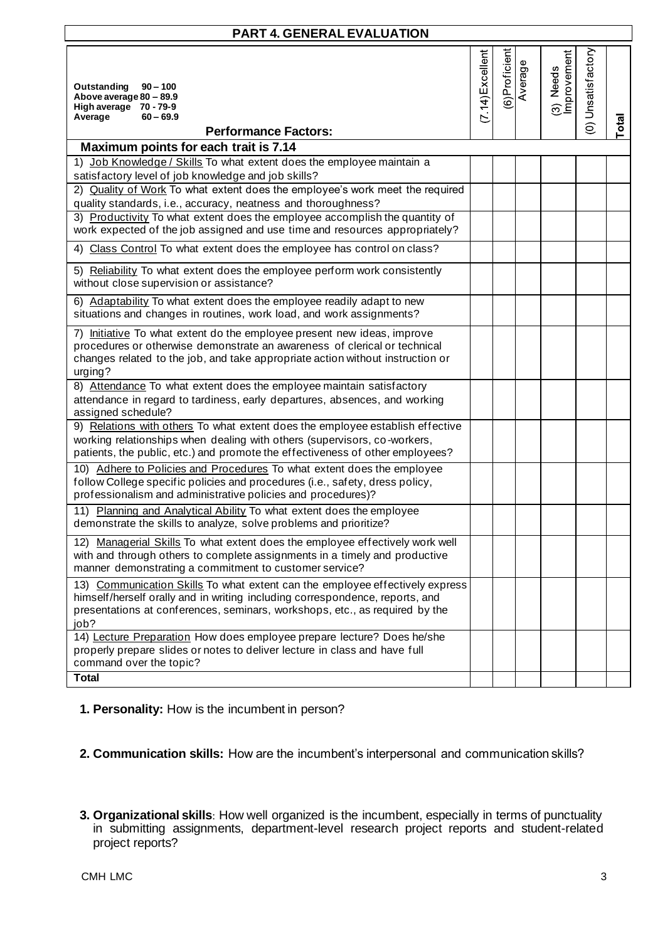| <b>PART 4. GENERAL EVALUATION</b>                                                                                                                                                                                                                   |                    |               |              |                          |                   |       |
|-----------------------------------------------------------------------------------------------------------------------------------------------------------------------------------------------------------------------------------------------------|--------------------|---------------|--------------|--------------------------|-------------------|-------|
| Outstanding<br>$90 - 100$<br>Above average 80 - 89.9<br>High average 70 - 79-9<br>Average<br>$60 - 69.9$<br><b>Performance Factors:</b>                                                                                                             | $(7.14)$ Excellent | (6)Proficient | Φ<br>Average | (3) Needs<br>Improvement | 0) Unsatisfactory | Total |
| Maximum points for each trait is 7.14                                                                                                                                                                                                               |                    |               |              |                          |                   |       |
| Job Knowledge / Skills To what extent does the employee maintain a<br>1)<br>satisfactory level of job knowledge and job skills?                                                                                                                     |                    |               |              |                          |                   |       |
| 2) Quality of Work To what extent does the employee's work meet the required<br>quality standards, i.e., accuracy, neatness and thoroughness?                                                                                                       |                    |               |              |                          |                   |       |
| 3) Productivity To what extent does the employee accomplish the quantity of<br>work expected of the job assigned and use time and resources appropriately?                                                                                          |                    |               |              |                          |                   |       |
| Class Control To what extent does the employee has control on class?<br>4)                                                                                                                                                                          |                    |               |              |                          |                   |       |
| 5) Reliability To what extent does the employee perform work consistently<br>without close supervision or assistance?                                                                                                                               |                    |               |              |                          |                   |       |
| 6) Adaptability To what extent does the employee readily adapt to new<br>situations and changes in routines, work load, and work assignments?                                                                                                       |                    |               |              |                          |                   |       |
| 7) Initiative To what extent do the employee present new ideas, improve<br>procedures or otherwise demonstrate an awareness of clerical or technical<br>changes related to the job, and take appropriate action without instruction or<br>urging?   |                    |               |              |                          |                   |       |
| 8) Attendance To what extent does the employee maintain satisfactory<br>attendance in regard to tardiness, early departures, absences, and working<br>assigned schedule?                                                                            |                    |               |              |                          |                   |       |
| 9) Relations with others To what extent does the employee establish effective<br>working relationships when dealing with others (supervisors, co-workers,<br>patients, the public, etc.) and promote the effectiveness of other employees?          |                    |               |              |                          |                   |       |
| 10) Adhere to Policies and Procedures To what extent does the employee<br>follow College specific policies and procedures (i.e., safety, dress policy,<br>professionalism and administrative policies and procedures)?                              |                    |               |              |                          |                   |       |
| 11) Planning and Analytical Ability To what extent does the employee<br>demonstrate the skills to analyze, solve problems and prioritize?                                                                                                           |                    |               |              |                          |                   |       |
| 12) Managerial Skills To what extent does the employee effectively work well<br>with and through others to complete assignments in a timely and productive<br>manner demonstrating a commitment to customer service?                                |                    |               |              |                          |                   |       |
| 13) Communication Skills To what extent can the employee effectively express<br>himself/herself orally and in writing including correspondence, reports, and<br>presentations at conferences, seminars, workshops, etc., as required by the<br>job? |                    |               |              |                          |                   |       |
| 14) Lecture Preparation How does employee prepare lecture? Does he/she<br>properly prepare slides or notes to deliver lecture in class and have full<br>command over the topic?                                                                     |                    |               |              |                          |                   |       |
| <b>Total</b>                                                                                                                                                                                                                                        |                    |               |              |                          |                   |       |

**1. Personality:** How is the incumbent in person?

**2. Communication skills:** How are the incumbent's interpersonal and communication skills?

**3. Organizational skills**: How well organized is the incumbent, especially in terms of punctuality in submitting assignments, department-level research project reports and student-related project reports?